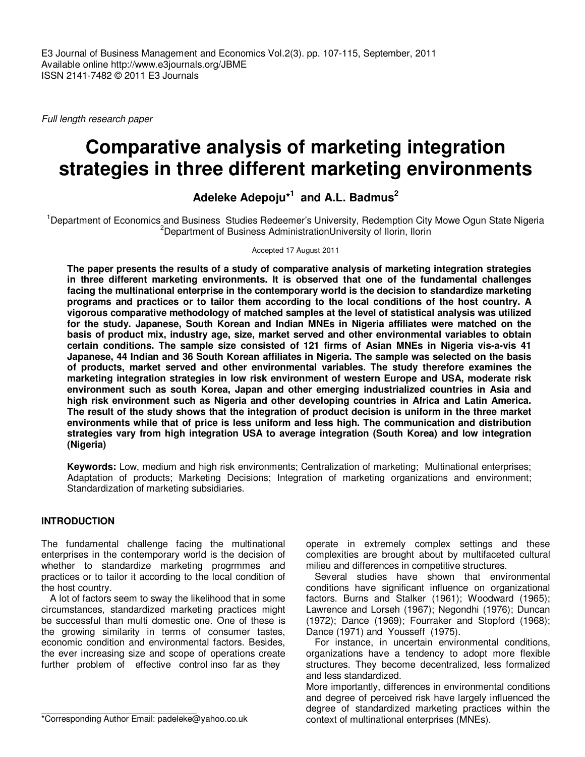Full length research paper

# **Comparative analysis of marketing integration strategies in three different marketing environments**

## **Adeleke Adepoju\*<sup>1</sup> and A.L. Badmus<sup>2</sup>**

<sup>1</sup>Department of Economics and Business Studies Redeemer's University, Redemption City Mowe Ogun State Nigeria <sup>2</sup>Department of Business AdministrationUniversity of Ilorin, Ilorin

#### Accepted 17 August 2011

**The paper presents the results of a study of comparative analysis of marketing integration strategies in three different marketing environments. It is observed that one of the fundamental challenges facing the multinational enterprise in the contemporary world is the decision to standardize marketing programs and practices or to tailor them according to the local conditions of the host country. A vigorous comparative methodology of matched samples at the level of statistical analysis was utilized for the study. Japanese, South Korean and Indian MNEs in Nigeria affiliates were matched on the basis of product mix, industry age, size, market served and other environmental variables to obtain certain conditions. The sample size consisted of 121 firms of Asian MNEs in Nigeria vis-a-vis 41 Japanese, 44 Indian and 36 South Korean affiliates in Nigeria. The sample was selected on the basis of products, market served and other environmental variables. The study therefore examines the marketing integration strategies in low risk environment of western Europe and USA, moderate risk environment such as south Korea, Japan and other emerging industrialized countries in Asia and high risk environment such as Nigeria and other developing countries in Africa and Latin America. The result of the study shows that the integration of product decision is uniform in the three market environments while that of price is less uniform and less high. The communication and distribution strategies vary from high integration USA to average integration (South Korea) and low integration (Nigeria)** 

**Keywords:** Low, medium and high risk environments; Centralization of marketing; Multinational enterprises; Adaptation of products; Marketing Decisions; Integration of marketing organizations and environment; Standardization of marketing subsidiaries.

## **INTRODUCTION**

The fundamental challenge facing the multinational enterprises in the contemporary world is the decision of whether to standardize marketing progrmmes and practices or to tailor it according to the local condition of the host country.

A lot of factors seem to sway the likelihood that in some circumstances, standardized marketing practices might be successful than multi domestic one. One of these is the growing similarity in terms of consumer tastes, economic condition and environmental factors. Besides, the ever increasing size and scope of operations create further problem of effective control inso far as they

\*Corresponding Author Email: padeleke@yahoo.co.uk

operate in extremely complex settings and these complexities are brought about by multifaceted cultural milieu and differences in competitive structures.

Several studies have shown that environmental conditions have significant influence on organizational factors. Burns and Stalker (1961); Woodward (1965); Lawrence and Lorseh (1967); Negondhi (1976); Duncan (1972); Dance (1969); Fourraker and Stopford (1968); Dance (1971) and Yousseff (1975).

For instance, in uncertain environmental conditions, organizations have a tendency to adopt more flexible structures. They become decentralized, less formalized and less standardized.

More importantly, differences in environmental conditions and degree of perceived risk have largely influenced the degree of standardized marketing practices within the context of multinational enterprises (MNEs).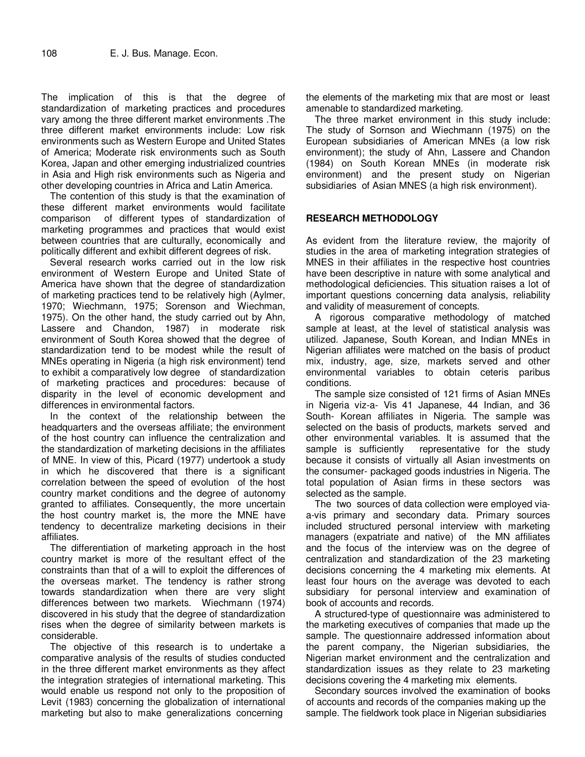The implication of this is that the degree of standardization of marketing practices and procedures vary among the three different market environments .The three different market environments include: Low risk environments such as Western Europe and United States of America; Moderate risk environments such as South Korea, Japan and other emerging industrialized countries in Asia and High risk environments such as Nigeria and other developing countries in Africa and Latin America.

The contention of this study is that the examination of these different market environments would facilitate comparison of different types of standardization of marketing programmes and practices that would exist between countries that are culturally, economically and politically different and exhibit different degrees of risk.

Several research works carried out in the low risk environment of Western Europe and United State of America have shown that the degree of standardization of marketing practices tend to be relatively high (Aylmer, 1970; Wiechmann, 1975; Sorenson and Wiechman, 1975). On the other hand, the study carried out by Ahn, Lassere and Chandon, 1987) in moderate risk environment of South Korea showed that the degree of standardization tend to be modest while the result of MNEs operating in Nigeria (a high risk environment) tend to exhibit a comparatively low degree of standardization of marketing practices and procedures: because of disparity in the level of economic development and differences in environmental factors.

In the context of the relationship between the headquarters and the overseas affiliate; the environment of the host country can influence the centralization and the standardization of marketing decisions in the affiliates of MNE. In view of this, Picard (1977) undertook a study in which he discovered that there is a significant correlation between the speed of evolution of the host country market conditions and the degree of autonomy granted to affiliates. Consequently, the more uncertain the host country market is, the more the MNE have tendency to decentralize marketing decisions in their affiliates.

The differentiation of marketing approach in the host country market is more of the resultant effect of the constraints than that of a will to exploit the differences of the overseas market. The tendency is rather strong towards standardization when there are very slight differences between two markets. Wiechmann (1974) discovered in his study that the degree of standardization rises when the degree of similarity between markets is considerable.

The objective of this research is to undertake a comparative analysis of the results of studies conducted in the three different market environments as they affect the integration strategies of international marketing. This would enable us respond not only to the proposition of Levit (1983) concerning the globalization of international marketing but also to make generalizations concerning

the elements of the marketing mix that are most or least amenable to standardized marketing.

The three market environment in this study include: The study of Sornson and Wiechmann (1975) on the European subsidiaries of American MNEs (a low risk environment); the study of Ahn, Lassere and Chandon (1984) on South Korean MNEs (in moderate risk environment) and the present study on Nigerian subsidiaries of Asian MNES (a high risk environment).

## **RESEARCH METHODOLOGY**

As evident from the literature review, the majority of studies in the area of marketing integration strategies of MNES in their affiliates in the respective host countries have been descriptive in nature with some analytical and methodological deficiencies. This situation raises a lot of important questions concerning data analysis, reliability and validity of measurement of concepts.

A rigorous comparative methodology of matched sample at least, at the level of statistical analysis was utilized. Japanese, South Korean, and Indian MNEs in Nigerian affiliates were matched on the basis of product mix, industry, age, size, markets served and other environmental variables to obtain ceteris paribus conditions.

The sample size consisted of 121 firms of Asian MNEs in Nigeria viz-a- Vis 41 Japanese, 44 Indian, and 36 South- Korean affiliates in Nigeria. The sample was selected on the basis of products, markets served and other environmental variables. It is assumed that the representative for the study because it consists of virtually all Asian investments on the consumer- packaged goods industries in Nigeria. The total population of Asian firms in these sectors was selected as the sample.

The two sources of data collection were employed viaa-vis primary and secondary data. Primary sources included structured personal interview with marketing managers (expatriate and native) of the MN affiliates and the focus of the interview was on the degree of centralization and standardization of the 23 marketing decisions concerning the 4 marketing mix elements. At least four hours on the average was devoted to each subsidiary for personal interview and examination of book of accounts and records.

A structured-type of questionnaire was administered to the marketing executives of companies that made up the sample. The questionnaire addressed information about the parent company, the Nigerian subsidiaries, the Nigerian market environment and the centralization and standardization issues as they relate to 23 marketing decisions covering the 4 marketing mix elements.

Secondary sources involved the examination of books of accounts and records of the companies making up the sample. The fieldwork took place in Nigerian subsidiaries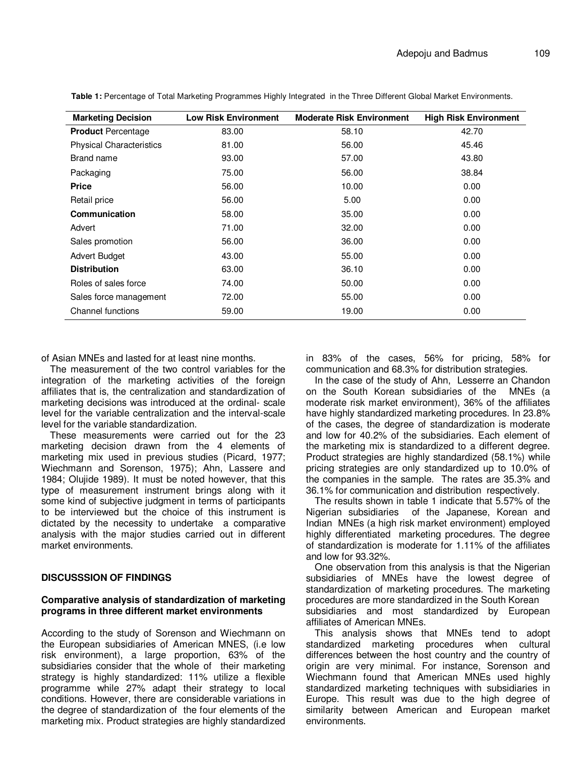| <b>Marketing Decision</b>       | <b>Low Risk Environment</b> | <b>Moderate Risk Environment</b> | <b>High Risk Environment</b> |
|---------------------------------|-----------------------------|----------------------------------|------------------------------|
| <b>Product Percentage</b>       | 83.00                       | 58.10                            | 42.70                        |
| <b>Physical Characteristics</b> | 81.00                       | 56.00                            | 45.46                        |
| Brand name                      | 93.00                       | 57.00                            | 43.80                        |
| Packaging                       | 75.00                       | 56.00                            | 38.84                        |
| <b>Price</b>                    | 56.00                       | 10.00                            | 0.00                         |
| Retail price                    | 56.00                       | 5.00                             | 0.00                         |
| Communication                   | 58.00                       | 35.00                            | 0.00                         |
| Advert                          | 71.00                       | 32.00                            | 0.00                         |
| Sales promotion                 | 56.00                       | 36.00                            | 0.00                         |
| <b>Advert Budget</b>            | 43.00                       | 55.00                            | 0.00                         |
| <b>Distribution</b>             | 63.00                       | 36.10                            | 0.00                         |
| Roles of sales force            | 74.00                       | 50.00                            | 0.00                         |
| Sales force management          | 72.00                       | 55.00                            | 0.00                         |
| Channel functions               | 59.00                       | 19.00                            | 0.00                         |

**Table 1:** Percentage of Total Marketing Programmes Highly Integrated in the Three Different Global Market Environments.

of Asian MNEs and lasted for at least nine months.

The measurement of the two control variables for the integration of the marketing activities of the foreign affiliates that is, the centralization and standardization of marketing decisions was introduced at the ordinal- scale level for the variable centralization and the interval-scale level for the variable standardization.

These measurements were carried out for the 23 marketing decision drawn from the 4 elements of marketing mix used in previous studies (Picard, 1977; Wiechmann and Sorenson, 1975); Ahn, Lassere and 1984; Olujide 1989). It must be noted however, that this type of measurement instrument brings along with it some kind of subjective judgment in terms of participants to be interviewed but the choice of this instrument is dictated by the necessity to undertake a comparative analysis with the major studies carried out in different market environments.

#### **DISCUSSSION OF FINDINGS**

#### **Comparative analysis of standardization of marketing programs in three different market environments**

According to the study of Sorenson and Wiechmann on the European subsidiaries of American MNES, (i.e low risk environment), a large proportion, 63% of the subsidiaries consider that the whole of their marketing strategy is highly standardized: 11% utilize a flexible programme while 27% adapt their strategy to local conditions. However, there are considerable variations in the degree of standardization of the four elements of the marketing mix. Product strategies are highly standardized

in 83% of the cases, 56% for pricing, 58% for communication and 68.3% for distribution strategies.

In the case of the study of Ahn, Lesserre an Chandon on the South Korean subsidiaries of the MNEs (a moderate risk market environment), 36% of the affiliates have highly standardized marketing procedures. In 23.8% of the cases, the degree of standardization is moderate and low for 40.2% of the subsidiaries. Each element of the marketing mix is standardized to a different degree. Product strategies are highly standardized (58.1%) while pricing strategies are only standardized up to 10.0% of the companies in the sample. The rates are 35.3% and 36.1% for communication and distribution respectively.

The results shown in table 1 indicate that 5.57% of the Nigerian subsidiaries of the Japanese, Korean and Indian MNEs (a high risk market environment) employed highly differentiated marketing procedures. The degree of standardization is moderate for 1.11% of the affiliates and low for 93.32%.

One observation from this analysis is that the Nigerian subsidiaries of MNEs have the lowest degree of standardization of marketing procedures. The marketing procedures are more standardized in the South Korean subsidiaries and most standardized by European affiliates of American MNEs.

This analysis shows that MNEs tend to adopt standardized marketing procedures when cultural differences between the host country and the country of origin are very minimal. For instance, Sorenson and Wiechmann found that American MNEs used highly standardized marketing techniques with subsidiaries in Europe. This result was due to the high degree of similarity between American and European market environments.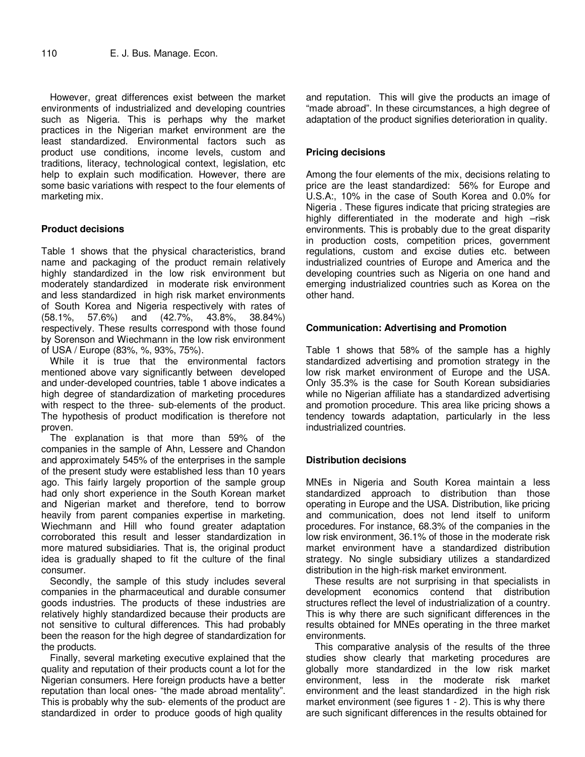However, great differences exist between the market environments of industrialized and developing countries such as Nigeria. This is perhaps why the market practices in the Nigerian market environment are the least standardized. Environmental factors such as product use conditions, income levels, custom and traditions, literacy, technological context, legislation, etc help to explain such modification. However, there are some basic variations with respect to the four elements of marketing mix.

## **Product decisions**

Table 1 shows that the physical characteristics, brand name and packaging of the product remain relatively highly standardized in the low risk environment but moderately standardized in moderate risk environment and less standardized in high risk market environments of South Korea and Nigeria respectively with rates of (58.1%, 57.6%) and (42.7%, 43.8%, 38.84%) respectively. These results correspond with those found by Sorenson and Wiechmann in the low risk environment of USA / Europe (83%, %, 93%, 75%).

While it is true that the environmental factors mentioned above vary significantly between developed and under-developed countries, table 1 above indicates a high degree of standardization of marketing procedures with respect to the three- sub-elements of the product. The hypothesis of product modification is therefore not proven.

The explanation is that more than 59% of the companies in the sample of Ahn, Lessere and Chandon and approximately 545% of the enterprises in the sample of the present study were established less than 10 years ago. This fairly largely proportion of the sample group had only short experience in the South Korean market and Nigerian market and therefore, tend to borrow heavily from parent companies expertise in marketing. Wiechmann and Hill who found greater adaptation corroborated this result and lesser standardization in more matured subsidiaries. That is, the original product idea is gradually shaped to fit the culture of the final consumer.

Secondly, the sample of this study includes several companies in the pharmaceutical and durable consumer goods industries. The products of these industries are relatively highly standardized because their products are not sensitive to cultural differences. This had probably been the reason for the high degree of standardization for the products.

Finally, several marketing executive explained that the quality and reputation of their products count a lot for the Nigerian consumers. Here foreign products have a better reputation than local ones- "the made abroad mentality". This is probably why the sub- elements of the product are standardized in order to produce goods of high quality

and reputation. This will give the products an image of "made abroad". In these circumstances, a high degree of adaptation of the product signifies deterioration in quality.

## **Pricing decisions**

Among the four elements of the mix, decisions relating to price are the least standardized: 56% for Europe and U.S.A:, 10% in the case of South Korea and 0.0% for Nigeria . These figures indicate that pricing strategies are highly differentiated in the moderate and high -risk environments. This is probably due to the great disparity in production costs, competition prices, government regulations, custom and excise duties etc. between industrialized countries of Europe and America and the developing countries such as Nigeria on one hand and emerging industrialized countries such as Korea on the other hand.

#### **Communication: Advertising and Promotion**

Table 1 shows that 58% of the sample has a highly standardized advertising and promotion strategy in the low risk market environment of Europe and the USA. Only 35.3% is the case for South Korean subsidiaries while no Nigerian affiliate has a standardized advertising and promotion procedure. This area like pricing shows a tendency towards adaptation, particularly in the less industrialized countries.

## **Distribution decisions**

MNEs in Nigeria and South Korea maintain a less standardized approach to distribution than those operating in Europe and the USA. Distribution, like pricing and communication, does not lend itself to uniform procedures. For instance, 68.3% of the companies in the low risk environment, 36.1% of those in the moderate risk market environment have a standardized distribution strategy. No single subsidiary utilizes a standardized distribution in the high-risk market environment.

These results are not surprising in that specialists in development economics contend that distribution structures reflect the level of industrialization of a country. This is why there are such significant differences in the results obtained for MNEs operating in the three market environments.

This comparative analysis of the results of the three studies show clearly that marketing procedures are globally more standardized in the low risk market environment, less in the moderate risk market environment and the least standardized in the high risk market environment (see figures 1 - 2). This is why there are such significant differences in the results obtained for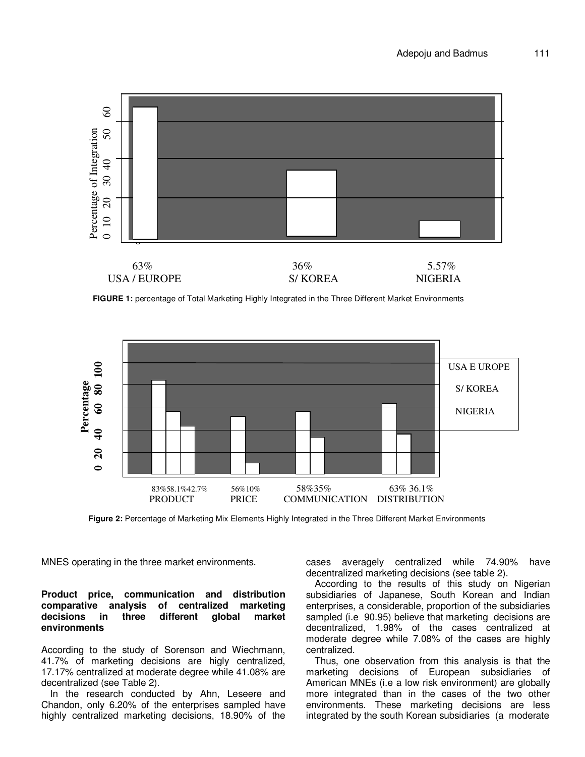

**FIGURE 1:** percentage of Total Marketing Highly Integrated in the Three Different Market Environments



**Figure 2:** Percentage of Marketing Mix Elements Highly Integrated in the Three Different Market Environments

MNES operating in the three market environments.

#### **Product price, communication and distribution comparative analysis of centralized marketing decisions in three different global market environments**

According to the study of Sorenson and Wiechmann, 41.7% of marketing decisions are higly centralized, 17.17% centralized at moderate degree while 41.08% are decentralized (see Table 2).

In the research conducted by Ahn, Leseere and Chandon, only 6.20% of the enterprises sampled have highly centralized marketing decisions, 18.90% of the

cases averagely centralized while 74.90% have decentralized marketing decisions (see table 2).

According to the results of this study on Nigerian subsidiaries of Japanese, South Korean and Indian enterprises, a considerable, proportion of the subsidiaries sampled (i.e 90.95) believe that marketing decisions are decentralized, 1.98% of the cases centralized at moderate degree while 7.08% of the cases are highly centralized.

Thus, one observation from this analysis is that the marketing decisions of European subsidiaries of American MNEs (i.e a low risk environment) are globally more integrated than in the cases of the two other environments. These marketing decisions are less integrated by the south Korean subsidiaries (a moderate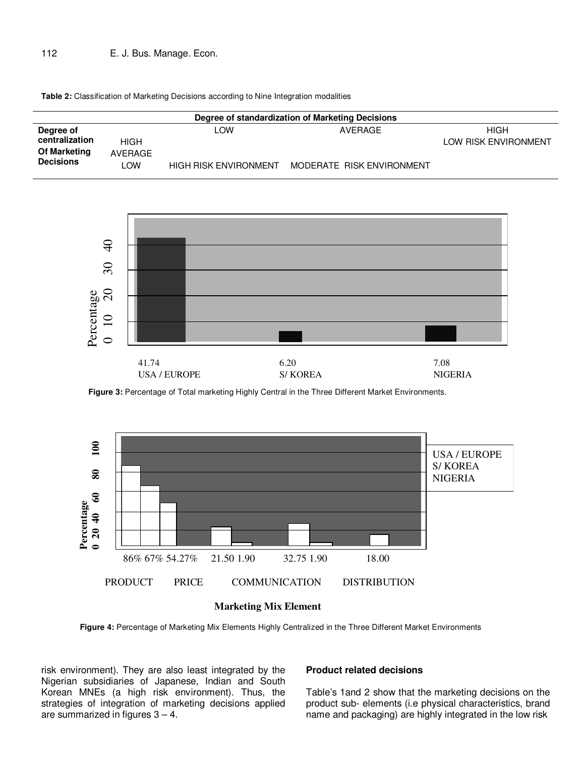## 112 E. J. Bus. Manage. Econ.

**Table 2:** Classification of Marketing Decisions according to Nine Integration modalities

| Degree of standardization of Marketing Decisions                |                        |                                     |                                      |                              |  |
|-----------------------------------------------------------------|------------------------|-------------------------------------|--------------------------------------|------------------------------|--|
| Degree of<br>centralization<br>Of Marketing<br><b>Decisions</b> | HIGH<br>AVERAGE<br>∟OW | LOW<br><b>HIGH RISK ENVIRONMENT</b> | AVERAGE<br>MODERATE RISK ENVIRONMENT | HIGH<br>LOW RISK ENVIRONMENT |  |



**Figure 3:** Percentage of Total marketing Highly Central in the Three Different Market Environments.





**Figure 4:** Percentage of Marketing Mix Elements Highly Centralized in the Three Different Market Environments

risk environment). They are also least integrated by the Nigerian subsidiaries of Japanese, Indian and South Korean MNEs (a high risk environment). Thus, the strategies of integration of marketing decisions applied are summarized in figures  $3 - 4$ .

#### **Product related decisions**

Table's 1and 2 show that the marketing decisions on the product sub- elements (i.e physical characteristics, brand name and packaging) are highly integrated in the low risk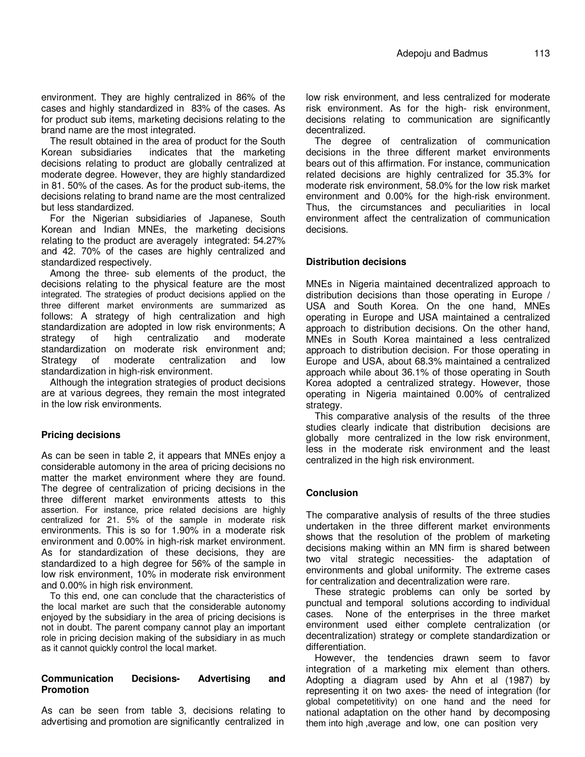environment. They are highly centralized in 86% of the cases and highly standardized in 83% of the cases. As for product sub items, marketing decisions relating to the brand name are the most integrated.

The result obtained in the area of product for the South Korean subsidiaries indicates that the marketing decisions relating to product are globally centralized at moderate degree. However, they are highly standardized in 81. 50% of the cases. As for the product sub-items, the decisions relating to brand name are the most centralized but less standardized.

For the Nigerian subsidiaries of Japanese, South Korean and Indian MNEs, the marketing decisions relating to the product are averagely integrated: 54.27% and 42. 70% of the cases are highly centralized and standardized respectively.

Among the three- sub elements of the product, the decisions relating to the physical feature are the most integrated. The strategies of product decisions applied on the three different market environments are summarized as follows: A strategy of high centralization and high standardization are adopted in low risk environments; A strategy of high centralizatio and moderate standardization on moderate risk environment and; Strategy of moderate centralization and low standardization in high-risk environment.

Although the integration strategies of product decisions are at various degrees, they remain the most integrated in the low risk environments.

## **Pricing decisions**

As can be seen in table 2, it appears that MNEs enjoy a considerable automony in the area of pricing decisions no matter the market environment where they are found. The degree of centralization of pricing decisions in the three different market environments attests to this assertion. For instance, price related decisions are highly centralized for 21. 5% of the sample in moderate risk environments. This is so for 1.90% in a moderate risk environment and 0.00% in high-risk market environment. As for standardization of these decisions, they are standardized to a high degree for 56% of the sample in low risk environment, 10% in moderate risk environment and 0.00% in high risk environment.

To this end, one can conclude that the characteristics of the local market are such that the considerable autonomy enjoyed by the subsidiary in the area of pricing decisions is not in doubt. The parent company cannot play an important role in pricing decision making of the subsidiary in as much as it cannot quickly control the local market.

#### **Communication Decisions- Advertising and Promotion**

As can be seen from table 3, decisions relating to advertising and promotion are significantly centralized in low risk environment, and less centralized for moderate risk environment. As for the high- risk environment, decisions relating to communication are significantly decentralized.

The degree of centralization of communication decisions in the three different market environments bears out of this affirmation. For instance, communication related decisions are highly centralized for 35.3% for moderate risk environment, 58.0% for the low risk market environment and 0.00% for the high-risk environment. Thus, the circumstances and peculiarities in local environment affect the centralization of communication decisions.

#### **Distribution decisions**

MNEs in Nigeria maintained decentralized approach to distribution decisions than those operating in Europe / USA and South Korea. On the one hand, MNEs operating in Europe and USA maintained a centralized approach to distribution decisions. On the other hand, MNEs in South Korea maintained a less centralized approach to distribution decision. For those operating in Europe and USA, about 68.3% maintained a centralized approach while about 36.1% of those operating in South Korea adopted a centralized strategy. However, those operating in Nigeria maintained 0.00% of centralized strategy.

This comparative analysis of the results of the three studies clearly indicate that distribution decisions are globally more centralized in the low risk environment, less in the moderate risk environment and the least centralized in the high risk environment.

## **Conclusion**

The comparative analysis of results of the three studies undertaken in the three different market environments shows that the resolution of the problem of marketing decisions making within an MN firm is shared between two vital strategic necessities- the adaptation of environments and global uniformity. The extreme cases for centralization and decentralization were rare.

These strategic problems can only be sorted by punctual and temporal solutions according to individual cases. None of the enterprises in the three market environment used either complete centralization (or decentralization) strategy or complete standardization or differentiation.

However, the tendencies drawn seem to favor integration of a marketing mix element than others. Adopting a diagram used by Ahn et al (1987) by representing it on two axes- the need of integration (for global competetitivity) on one hand and the need for national adaptation on the other hand by decomposing them into high ,average and low, one can position very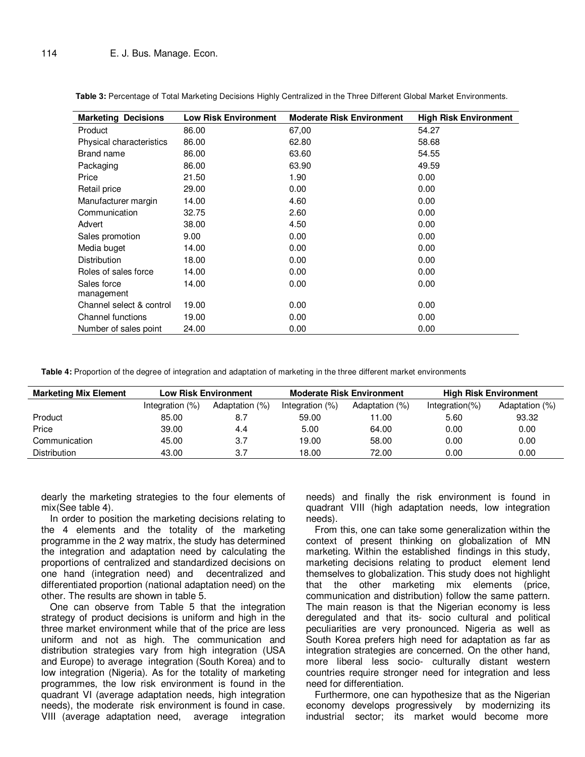| <b>Marketing Decisions</b> | <b>Low Risk Environment</b> | <b>Moderate Risk Environment</b> | <b>High Risk Environment</b> |
|----------------------------|-----------------------------|----------------------------------|------------------------------|
| Product                    | 86.00                       | 67,00                            | 54.27                        |
| Physical characteristics   | 86.00                       | 62.80                            | 58.68                        |
| Brand name                 | 86.00                       | 63.60                            | 54.55                        |
| Packaging                  | 86.00                       | 63.90                            | 49.59                        |
| Price                      | 21.50                       | 1.90                             | 0.00                         |
| Retail price               | 29.00                       | 0.00                             | 0.00                         |
| Manufacturer margin        | 14.00                       | 4.60                             | 0.00                         |
| Communication              | 32.75                       | 2.60                             | 0.00                         |
| Advert                     | 38.00                       | 4.50                             | 0.00                         |
| Sales promotion            | 9.00                        | 0.00                             | 0.00                         |
| Media buget                | 14.00                       | 0.00                             | 0.00                         |
| <b>Distribution</b>        | 18.00                       | 0.00                             | 0.00                         |
| Roles of sales force       | 14.00                       | 0.00                             | 0.00                         |
| Sales force                | 14.00                       | 0.00                             | 0.00                         |
| management                 |                             |                                  |                              |
| Channel select & control   | 19.00                       | 0.00                             | 0.00                         |
| Channel functions          | 19.00                       | 0.00                             | 0.00                         |
| Number of sales point      | 24.00                       | 0.00                             | 0.00                         |

**Table 3:** Percentage of Total Marketing Decisions Highly Centralized in the Three Different Global Market Environments.

**Table 4:** Proportion of the degree of integration and adaptation of marketing in the three different market environments

| <b>Marketing Mix Element</b> | <b>Low Risk Environment</b> |                | <b>Moderate Risk Environment</b> |                | <b>High Risk Environment</b> |                |
|------------------------------|-----------------------------|----------------|----------------------------------|----------------|------------------------------|----------------|
|                              | Integration (%)             | Adaptation (%) | Integration (%)                  | Adaptation (%) | Integration(%)               | Adaptation (%) |
| Product                      | 85.00                       | 8.7            | 59.00                            | 11.00          | 5.60                         | 93.32          |
| Price                        | 39.00                       | 4.4            | 5.00                             | 64.00          | 0.00                         | 0.00           |
| Communication                | 45.00                       | 3.7            | 19.00                            | 58.00          | 0.00                         | 0.00           |
| <b>Distribution</b>          | 43.00                       | 3.7            | 18.00                            | 72.00          | 0.00                         | 0.00           |

dearly the marketing strategies to the four elements of mix(See table 4).

In order to position the marketing decisions relating to the 4 elements and the totality of the marketing programme in the 2 way matrix, the study has determined the integration and adaptation need by calculating the proportions of centralized and standardized decisions on one hand (integration need) and decentralized and differentiated proportion (national adaptation need) on the other. The results are shown in table 5.

One can observe from Table 5 that the integration strategy of product decisions is uniform and high in the three market environment while that of the price are less uniform and not as high. The communication and distribution strategies vary from high integration (USA and Europe) to average integration (South Korea) and to low integration (Nigeria). As for the totality of marketing programmes, the low risk environment is found in the quadrant VI (average adaptation needs, high integration needs), the moderate risk environment is found in case. VIII (average adaptation need, average integration

needs) and finally the risk environment is found in quadrant VIII (high adaptation needs, low integration needs).

From this, one can take some generalization within the context of present thinking on globalization of MN marketing. Within the established findings in this study, marketing decisions relating to product element lend themselves to globalization. This study does not highlight that the other marketing mix elements (price, communication and distribution) follow the same pattern. The main reason is that the Nigerian economy is less deregulated and that its- socio cultural and political peculiarities are very pronounced. Nigeria as well as South Korea prefers high need for adaptation as far as integration strategies are concerned. On the other hand, more liberal less socio- culturally distant western countries require stronger need for integration and less need for differentiation.

Furthermore, one can hypothesize that as the Nigerian economy develops progressively by modernizing its industrial sector; its market would become more